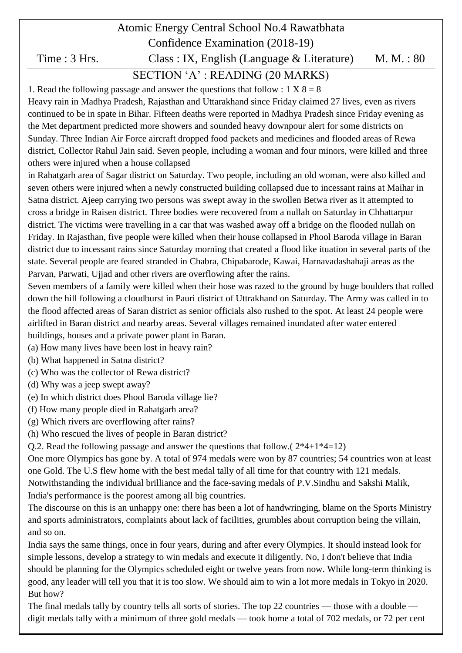# Atomic Energy Central School No.4 Rawatbhata Confidence Examination (2018-19) Time : 3 Hrs. Class : IX, English (Language & Literature) M. M. : 80 SECTION "A" : READING (20 MARKS)

# 1. Read the following passage and answer the questions that follow :  $1 \text{ X } 8 = 8$

Heavy rain in Madhya Pradesh, Rajasthan and Uttarakhand since Friday claimed 27 lives, even as rivers continued to be in spate in Bihar. Fifteen deaths were reported in Madhya Pradesh since Friday evening as the Met department predicted more showers and sounded heavy downpour alert for some districts on Sunday. Three Indian Air Force aircraft dropped food packets and medicines and flooded areas of Rewa district, Collector Rahul Jain said. Seven people, including a woman and four minors, were killed and three others were injured when a house collapsed

in Rahatgarh area of Sagar district on Saturday. Two people, including an old woman, were also killed and seven others were injured when a newly constructed building collapsed due to incessant rains at Maihar in Satna district. Ajeep carrying two persons was swept away in the swollen Betwa river as it attempted to cross a bridge in Raisen district. Three bodies were recovered from a nullah on Saturday in Chhattarpur district. The victims were travelling in a car that was washed away off a bridge on the flooded nullah on Friday. In Rajasthan, five people were killed when their house collapsed in Phool Baroda village in Baran district due to incessant rains since Saturday morning that created a flood like ituation in several parts of the state. Several people are feared stranded in Chabra, Chipabarode, Kawai, Harnavadashahaji areas as the Parvan, Parwati, Ujjad and other rivers are overflowing after the rains.

Seven members of a family were killed when their hose was razed to the ground by huge boulders that rolled down the hill following a cloudburst in Pauri district of Uttrakhand on Saturday. The Army was called in to the flood affected areas of Saran district as senior officials also rushed to the spot. At least 24 people were airlifted in Baran district and nearby areas. Several villages remained inundated after water entered buildings, houses and a private power plant in Baran.

- (a) How many lives have been lost in heavy rain?
- (b) What happened in Satna district?
- (c) Who was the collector of Rewa district?
- (d) Why was a jeep swept away?
- (e) In which district does Phool Baroda village lie?
- (f) How many people died in Rahatgarh area?
- (g) Which rivers are overflowing after rains?
- (h) Who rescued the lives of people in Baran district?
- O.2. Read the following passage and answer the questions that follow.  $(2*4+1*4=12)$

One more Olympics has gone by. A total of 974 medals were won by 87 countries; 54 countries won at least one Gold. The U.S flew home with the best medal tally of all time for that country with 121 medals. Notwithstanding the individual brilliance and the face-saving medals of P.V.Sindhu and Sakshi Malik, India's performance is the poorest among all big countries.

The discourse on this is an unhappy one: there has been a lot of handwringing, blame on the Sports Ministry and sports administrators, complaints about lack of facilities, grumbles about corruption being the villain, and so on.

India says the same things, once in four years, during and after every Olympics. It should instead look for simple lessons, develop a strategy to win medals and execute it diligently. No, I don't believe that India should be planning for the Olympics scheduled eight or twelve years from now. While long-term thinking is good, any leader will tell you that it is too slow. We should aim to win a lot more medals in Tokyo in 2020. But how?

The final medals tally by country tells all sorts of stories. The top 22 countries — those with a double digit medals tally with a minimum of three gold medals — took home a total of 702 medals, or 72 per cent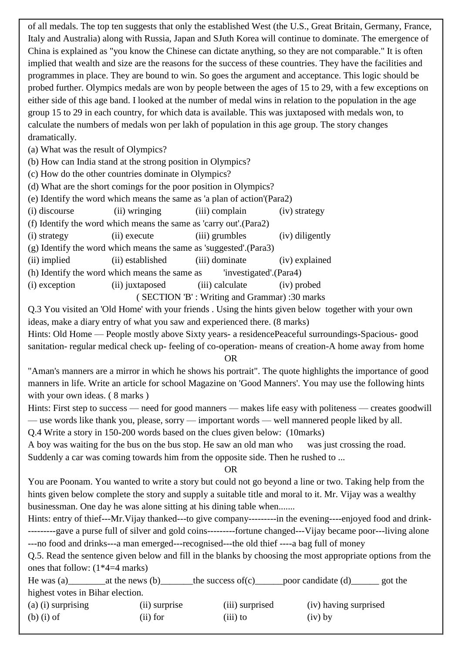of all medals. The top ten suggests that only the established West (the U.S., Great Britain, Germany, France, Italy and Australia) along with Russia, Japan and SJuth Korea will continue to dominate. The emergence of China is explained as "you know the Chinese can dictate anything, so they are not comparable." It is often implied that wealth and size are the reasons for the success of these countries. They have the facilities and programmes in place. They are bound to win. So goes the argument and acceptance. This logic should be probed further. Olympics medals are won by people between the ages of 15 to 29, with a few exceptions on either side of this age band. I looked at the number of medal wins in relation to the population in the age group 15 to 29 in each country, for which data is available. This was juxtaposed with medals won, to calculate the numbers of medals won per lakh of population in this age group. The story changes dramatically.

(a) What was the result of Olympics?

(b) How can India stand at the strong position in Olympics?

(c) How do the other countries dominate in Olympics?

(d) What are the short comings for the poor position in Olympics?

(e) Identify the word which means the same as 'a plan of action'(Para2)

(i) discourse (ii) wringing (iii) complain (iv) strategy

(f) Identify the word which means the same as 'carry out'.(Para2)

(i) strategy (ii) execute (iii) grumbles (iv) diligently

(g) Identify the word which means the same as 'suggested'.(Para3)

(ii) implied (ii) established (iii) dominate (iv) explained

(h) Identify the word which means the same as 'investigated'.(Para4)

(i) exception (ii) juxtaposed (iii) calculate (iv) probed

( SECTION 'B' : Writing and Grammar) :30 marks

Q.3 You visited an 'Old Home' with your friends . Using the hints given below together with your own ideas, make a diary entry of what you saw and experienced there. (8 marks)

Hints: Old Home — People mostly above Sixty years- a residencePeaceful surroundings-Spacious- good sanitation- regular medical check up- feeling of co-operation- means of creation-A home away from home

OR

"Aman's manners are a mirror in which he shows his portrait". The quote highlights the importance of good manners in life. Write an article for school Magazine on 'Good Manners'. You may use the following hints with your own ideas. (8 marks)

Hints: First step to success — need for good manners — makes life easy with politeness — creates goodwill — use words like thank you, please, sorry — important words — well mannered people liked by all.

Q.4 Write a story in 150-200 words based on the clues given below: (10marks)

A boy was waiting for the bus on the bus stop. He saw an old man who was just crossing the road. Suddenly a car was coming towards him from the opposite side. Then he rushed to ...

OR

You are Poonam. You wanted to write a story but could not go beyond a line or two. Taking help from the hints given below complete the story and supply a suitable title and moral to it. Mr. Vijay was a wealthy businessman. One day he was alone sitting at his dining table when.......

Hints: entry of thief---Mr. Vijay thanked---to give company------------- in the evening----enjoyed food and drink----------gave a purse full of silver and gold coins---------fortune changed---Vijay became poor---living alone ---no food and drinks---a man emerged---recognised---the old thief ----a bag full of money

Q.5. Read the sentence given below and fill in the blanks by choosing the most appropriate options from the ones that follow: (1\*4=4 marks)

He was (a)\_\_\_\_\_\_\_at the news (b)\_\_\_\_\_\_\_the success of(c)\_\_\_\_\_poor candidate (d)\_\_\_\_\_\_ got the highest votes in Bihar election.

| $(a)$ (i) surprising | (ii) surprise | (iii) surprised | (iv) having surprised |
|----------------------|---------------|-----------------|-----------------------|
| $(b)$ (i) of         | $(ii)$ for    | $(iii)$ to      | $(iv)$ by             |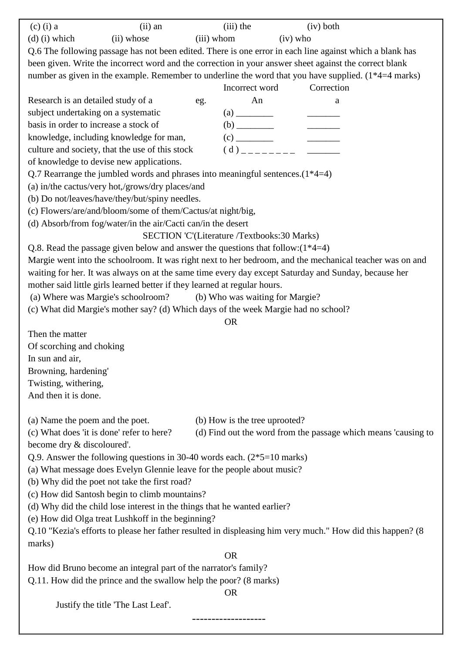| $(c)$ (i) a                           | $(ii)$ an                                                                                                  |            | $(iii)$ the                   |            | (iv) both  |                                                                |
|---------------------------------------|------------------------------------------------------------------------------------------------------------|------------|-------------------------------|------------|------------|----------------------------------------------------------------|
| $(d)$ (i) which                       | (ii) whose                                                                                                 | (iii) whom |                               | $(iv)$ who |            |                                                                |
|                                       | Q.6 The following passage has not been edited. There is one error in each line against which a blank has   |            |                               |            |            |                                                                |
|                                       | been given. Write the incorrect word and the correction in your answer sheet against the correct blank     |            |                               |            |            |                                                                |
|                                       | number as given in the example. Remember to underline the word that you have supplied. (1*4=4 marks)       |            |                               |            |            |                                                                |
|                                       |                                                                                                            |            | Incorrect word                |            | Correction |                                                                |
| Research is an detailed study of a    |                                                                                                            | eg.        | An                            |            | a          |                                                                |
| subject undertaking on a systematic   |                                                                                                            |            |                               |            |            |                                                                |
| basis in order to increase a stock of |                                                                                                            |            |                               |            |            |                                                                |
|                                       | knowledge, including knowledge for man,                                                                    |            |                               |            |            |                                                                |
|                                       | culture and society, that the use of this stock                                                            |            |                               |            |            |                                                                |
|                                       | of knowledge to devise new applications.                                                                   |            |                               |            |            |                                                                |
|                                       | Q.7 Rearrange the jumbled words and phrases into meaningful sentences. $(1*4=4)$                           |            |                               |            |            |                                                                |
|                                       | (a) in/the cactus/very hot,/grows/dry places/and                                                           |            |                               |            |            |                                                                |
|                                       | (b) Do not/leaves/have/they/but/spiny needles.                                                             |            |                               |            |            |                                                                |
|                                       | (c) Flowers/are/and/bloom/some of them/Cactus/at night/big,                                                |            |                               |            |            |                                                                |
|                                       | (d) Absorb/from fog/water/in the air/Cacti can/in the desert                                               |            |                               |            |            |                                                                |
|                                       | SECTION 'C'(Literature /Textbooks:30 Marks)                                                                |            |                               |            |            |                                                                |
|                                       | Q.8. Read the passage given below and answer the questions that follow: $(1*4=4)$                          |            |                               |            |            |                                                                |
|                                       | Margie went into the schoolroom. It was right next to her bedroom, and the mechanical teacher was on and   |            |                               |            |            |                                                                |
|                                       | waiting for her. It was always on at the same time every day except Saturday and Sunday, because her       |            |                               |            |            |                                                                |
|                                       | mother said little girls learned better if they learned at regular hours.                                  |            |                               |            |            |                                                                |
|                                       | (a) Where was Margie's schoolroom? (b) Who was waiting for Margie?                                         |            |                               |            |            |                                                                |
|                                       | (c) What did Margie's mother say? (d) Which days of the week Margie had no school?                         |            |                               |            |            |                                                                |
|                                       |                                                                                                            |            | <b>OR</b>                     |            |            |                                                                |
| Then the matter                       |                                                                                                            |            |                               |            |            |                                                                |
| Of scorching and choking              |                                                                                                            |            |                               |            |            |                                                                |
|                                       |                                                                                                            |            |                               |            |            |                                                                |
| In sun and air,                       |                                                                                                            |            |                               |            |            |                                                                |
| Browning, hardening'                  |                                                                                                            |            |                               |            |            |                                                                |
| Twisting, withering,                  |                                                                                                            |            |                               |            |            |                                                                |
| And then it is done.                  |                                                                                                            |            |                               |            |            |                                                                |
|                                       |                                                                                                            |            |                               |            |            |                                                                |
| (a) Name the poem and the poet.       |                                                                                                            |            | (b) How is the tree uprooted? |            |            |                                                                |
|                                       | (c) What does 'it is done' refer to here?                                                                  |            |                               |            |            | (d) Find out the word from the passage which means 'causing to |
| become dry & discoloured'.            |                                                                                                            |            |                               |            |            |                                                                |
|                                       | Q.9. Answer the following questions in 30-40 words each. $(2*5=10 \text{ marks})$                          |            |                               |            |            |                                                                |
|                                       | (a) What message does Evelyn Glennie leave for the people about music?                                     |            |                               |            |            |                                                                |
|                                       | (b) Why did the poet not take the first road?                                                              |            |                               |            |            |                                                                |
|                                       | (c) How did Santosh begin to climb mountains?                                                              |            |                               |            |            |                                                                |
|                                       | (d) Why did the child lose interest in the things that he wanted earlier?                                  |            |                               |            |            |                                                                |
|                                       | (e) How did Olga treat Lushkoff in the beginning?                                                          |            |                               |            |            |                                                                |
|                                       | Q.10 "Kezia's efforts to please her father resulted in displeasing him very much." How did this happen? (8 |            |                               |            |            |                                                                |
| marks)                                |                                                                                                            |            |                               |            |            |                                                                |
|                                       |                                                                                                            |            | <b>OR</b>                     |            |            |                                                                |
|                                       | How did Bruno become an integral part of the narrator's family?                                            |            |                               |            |            |                                                                |
|                                       | Q.11. How did the prince and the swallow help the poor? (8 marks)                                          |            |                               |            |            |                                                                |
|                                       |                                                                                                            |            | <b>OR</b>                     |            |            |                                                                |
|                                       | Justify the title 'The Last Leaf'.                                                                         |            |                               |            |            |                                                                |
|                                       |                                                                                                            |            |                               |            |            |                                                                |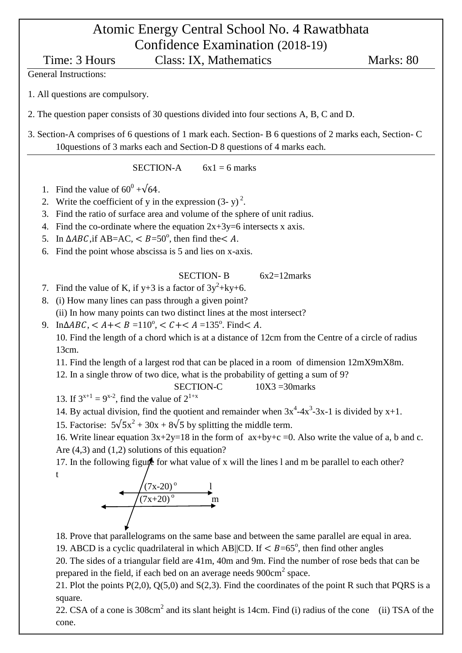# Atomic Energy Central School No. 4 Rawatbhata Confidence Examination (2018-19)

Time: 3 Hours Class: IX, Mathematics Marks: 80

General Instructions:

1. All questions are compulsory.

2. The question paper consists of 30 questions divided into four sections A, B, C and D.

3. Section-A comprises of 6 questions of 1 mark each. Section- B 6 questions of 2 marks each, Section- C 10questions of 3 marks each and Section-D 8 questions of 4 marks each.

SECTION-A  $6x1 = 6$  marks

- 1. Find the value of  $60^0 + \sqrt{64}$ .
- 2. Write the coefficient of y in the expression  $(3-y)^2$ .
- 3. Find the ratio of surface area and volume of the sphere of unit radius.
- 4. Find the co-ordinate where the equation  $2x+3y=6$  intersects x axis.
- 5. In  $\triangle ABC$ , if AB=AC, < B=50°, then find the < A.
- 6. Find the point whose abscissa is 5 and lies on x-axis.

SECTION-B 6x2=12marks

- 7. Find the value of K, if  $y+3$  is a factor of  $3y^2+ky+6$ .
- 8. (i) How many lines can pass through a given point? (ii) In how many points can two distinct lines at the most intersect?
- 9. In $\triangle ABC$ , <  $A + \le B = 110^{\circ}$ , <  $C + \le A = 135^{\circ}$ . Find  $\le A$ .

10. Find the length of a chord which is at a distance of 12cm from the Centre of a circle of radius 13cm.

- 11. Find the length of a largest rod that can be placed in a room of dimension 12mX9mX8m.
- 12. In a single throw of two dice, what is the probability of getting a sum of 9?

SECTION-C  $10X3 = 30$  marks

13. If  $3^{x+1} = 9^{x-2}$ , find the value of  $2^{1+x}$ 

14. By actual division, find the quotient and remainder when  $3x^4 - 4x^3 - 3x - 1$  is divided by  $x+1$ .

15. Factorise:  $5\sqrt{5x^2 + 30x + 8\sqrt{5}}$  by splitting the middle term.

16. Write linear equation  $3x+2y=18$  in the form of  $ax+by+c=0$ . Also write the value of a, b and c. Are (4,3) and (1,2) solutions of this equation?

17. In the following figure for what value of x will the lines l and m be parallel to each other? t



18. Prove that parallelograms on the same base and between the same parallel are equal in area.

19. ABCD is a cyclic quadrilateral in which AB||CD. If  $\langle B=65^{\circ}$ , then find other angles

20. The sides of a triangular field are 41m, 40m and 9m. Find the number of rose beds that can be prepared in the field, if each bed on an average needs  $900 \text{cm}^2$  space.

21. Plot the points  $P(2,0)$ ,  $Q(5,0)$  and  $S(2,3)$ . Find the coordinates of the point R such that PQRS is a square.

22. CSA of a cone is  $308 \text{cm}^2$  and its slant height is 14cm. Find (i) radius of the cone (ii) TSA of the cone.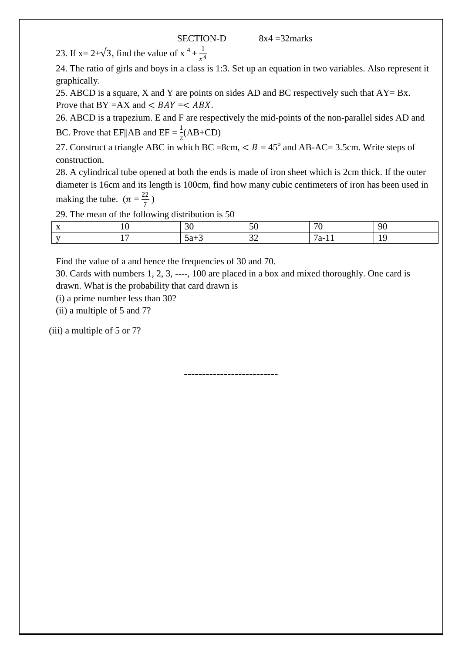23. If x= 2+ $\sqrt{3}$ , find the value of x<sup>4</sup> +  $\frac{1}{10}$  $\frac{1}{x^4}$ 

24. The ratio of girls and boys in a class is 1:3. Set up an equation in two variables. Also represent it graphically.

25. ABCD is a square, X and Y are points on sides AD and BC respectively such that  $AY = Bx$ . Prove that  $BY = AX$  and  $\lt BAY = \lt ABX$ .

26. ABCD is a trapezium. E and F are respectively the mid-points of the non-parallel sides AD and BC. Prove that EF||AB and EF =  $\frac{1}{2}$ (AB+CD)

27. Construct a triangle ABC in which BC =8cm,  $\lt B = 45^\circ$  and AB-AC= 3.5cm. Write steps of construction.

28. A cylindrical tube opened at both the ends is made of iron sheet which is 2cm thick. If the outer diameter is 16cm and its length is 100cm, find how many cubic centimeters of iron has been used in making the tube.  $(\pi = \frac{22}{7})$  $\frac{22}{7}$ 

29. The mean of the following distribution is 50

| $\mathbf{v}$<br>$\Lambda$ | ιv | $\sim$<br>.JU | $\sim$<br>$\cdot$    | $\overline{H}$ | ۵ſ                |
|---------------------------|----|---------------|----------------------|----------------|-------------------|
| $\mathbf{v}$              | -  | $5a+3$        | $\sim$<br><u>ے ب</u> | 'a-<br>. .     | $\epsilon$<br>. . |

Find the value of a and hence the frequencies of 30 and 70.

30. Cards with numbers 1, 2, 3, ----, 100 are placed in a box and mixed thoroughly. One card is drawn. What is the probability that card drawn is

(i) a prime number less than 30?

(ii) a multiple of 5 and 7?

(iii) a multiple of 5 or 7?

--------------------------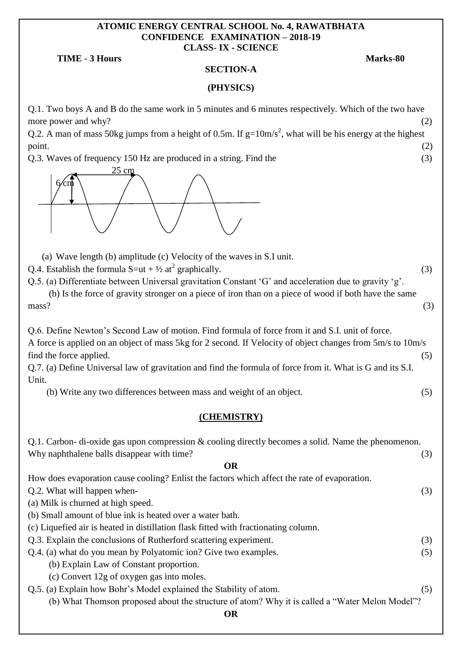#### **ATOMIC ENERGY CENTRAL SCHOOL No. 4, RAWATBHATA CONFIDENCE EXAMINATION – 2018-19 CLASS**- **IX - SCIENCE**

#### **TIME** - **3 Hours Marks**-**80**

#### **SECTION-A**

#### **(PHYSICS)**

Q.1. Two boys A and B do the same work in 5 minutes and 6 minutes respectively. Which of the two have more power and why?  $(2)$ 

Q.2. A man of mass 50kg jumps from a height of 0.5m. If  $g=10 \text{m/s}^2$ , what will be his energy at the highest point.  $(2)$ 

Q.3. Waves of frequency 150 Hz are produced in a string. Find the (3)



(a) Wave length (b) amplitude (c) Velocity of the waves in S.I unit.

Q.4. Establish the formula  $S=ut + \frac{1}{2}at^2$  graphically. (3)

Q.5. (a) Differentiate between Universal gravitation Constant "G" and acceleration due to gravity "g".

 (b) Is the force of gravity stronger on a piece of iron than on a piece of wood if both have the same  $mass?$  (3)

Q.6. Define Newton"s Second Law of motion. Find formula of force from it and S.I. unit of force. A force is applied on an object of mass 5kg for 2 second. If Velocity of object changes from 5m/s to 10m/s find the force applied.  $(5)$ 

Q.7. (a) Define Universal law of gravitation and find the formula of force from it. What is G and its S.I. Unit.

(b) Write any two differences between mass and weight of an object. (5)

### **(CHEMISTRY)**

| Q.1. Carbon-di-oxide gas upon compression $\&$ cooling directly becomes a solid. Name the phenomenon. |     |
|-------------------------------------------------------------------------------------------------------|-----|
| Why naphthalene balls disappear with time?                                                            | (3) |
| <b>OR</b>                                                                                             |     |
| How does evaporation cause cooling? Enlist the factors which affect the rate of evaporation.          |     |
| Q.2. What will happen when-                                                                           | (3) |
| (a) Milk is churned at high speed.                                                                    |     |
| (b) Small amount of blue ink is heated over a water bath.                                             |     |
| (c) Liquefied air is heated in distillation flask fitted with fractionating column.                   |     |
| Q.3. Explain the conclusions of Rutherford scattering experiment.                                     | (3) |
| Q.4. (a) what do you mean by Polyatomic ion? Give two examples.                                       | (5) |
| (b) Explain Law of Constant proportion.                                                               |     |
| (c) Convert 12g of oxygen gas into moles.                                                             |     |
| Q.5. (a) Explain how Bohr's Model explained the Stability of atom.                                    | (5) |
| (b) What Thomson proposed about the structure of atom? Why it is called a "Water Melon Model"?        |     |
| OR                                                                                                    |     |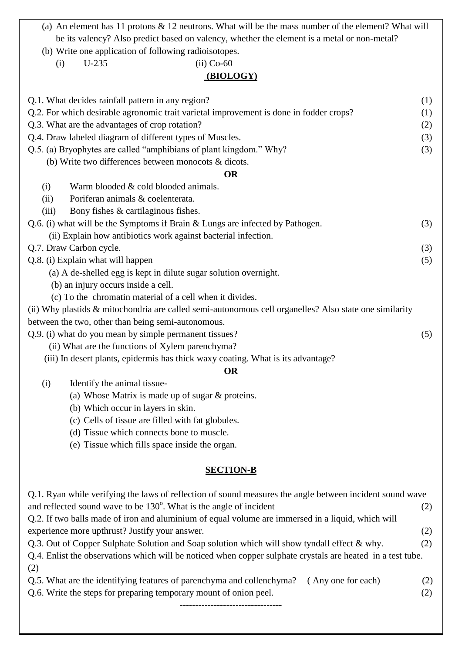- (a) An element has 11 protons & 12 neutrons. What will be the mass number of the element? What will be its valency? Also predict based on valency, whether the element is a metal or non-metal?
- (b) Write one application of following radioisotopes.
	- (i) U-235 (ii) Co-60

## **(BIOLOGY)**

| Q.1. What decides rainfall pattern in any region?                                                           | (1) |
|-------------------------------------------------------------------------------------------------------------|-----|
| Q.2. For which desirable agronomic trait varietal improvement is done in fodder crops?                      | (1) |
| Q.3. What are the advantages of crop rotation?                                                              | (2) |
| Q.4. Draw labeled diagram of different types of Muscles.                                                    | (3) |
| Q.5. (a) Bryophytes are called "amphibians of plant kingdom." Why?                                          | (3) |
| (b) Write two differences between monocots & dicots.                                                        |     |
| <b>OR</b>                                                                                                   |     |
| Warm blooded & cold blooded animals.<br>(i)                                                                 |     |
| Poriferan animals & coelenterata.<br>(ii)                                                                   |     |
| Bony fishes & cartilaginous fishes.<br>(iii)                                                                |     |
| Q.6. (i) what will be the Symptoms if Brain & Lungs are infected by Pathogen.                               | (3) |
| (ii) Explain how antibiotics work against bacterial infection.                                              |     |
| Q.7. Draw Carbon cycle.                                                                                     | (3) |
| Q.8. (i) Explain what will happen                                                                           | (5) |
| (a) A de-shelled egg is kept in dilute sugar solution overnight.                                            |     |
| (b) an injury occurs inside a cell.                                                                         |     |
| (c) To the chromatin material of a cell when it divides.                                                    |     |
| (ii) Why plastids & mitochondria are called semi-autonomous cell organelles? Also state one similarity      |     |
| between the two, other than being semi-autonomous.                                                          |     |
| Q.9. (i) what do you mean by simple permanent tissues?                                                      | (5) |
| (ii) What are the functions of Xylem parenchyma?                                                            |     |
| (iii) In desert plants, epidermis has thick waxy coating. What is its advantage?                            |     |
| <b>OR</b>                                                                                                   |     |
| (i)<br>Identify the animal tissue-                                                                          |     |
| (a) Whose Matrix is made up of sugar $\&$ proteins.                                                         |     |
| (b) Which occur in layers in skin.                                                                          |     |
|                                                                                                             |     |
| (c) Cells of tissue are filled with fat globules.                                                           |     |
| (d) Tissue which connects bone to muscle.                                                                   |     |
| (e) Tissue which fills space inside the organ.                                                              |     |
| <b>SECTION-B</b>                                                                                            |     |
| Q.1. Ryan while verifying the laws of reflection of sound measures the angle between incident sound wave    |     |
| and reflected sound wave to be 130°. What is the angle of incident                                          | (2) |
| Q.2. If two balls made of iron and aluminium of equal volume are immersed in a liquid, which will           |     |
| experience more upthrust? Justify your answer.                                                              | (2) |
| Q.3. Out of Copper Sulphate Solution and Soap solution which will show tyndall effect & why.                | (2) |
| Q.4. Enlist the observations which will be noticed when copper sulphate crystals are heated in a test tube. |     |
| (2)                                                                                                         |     |
| Q.5. What are the identifying features of parenchyma and collenchyma?<br>(Any one for each)                 | (2) |
| Q.6. Write the steps for preparing temporary mount of onion peel.                                           | (2) |
|                                                                                                             |     |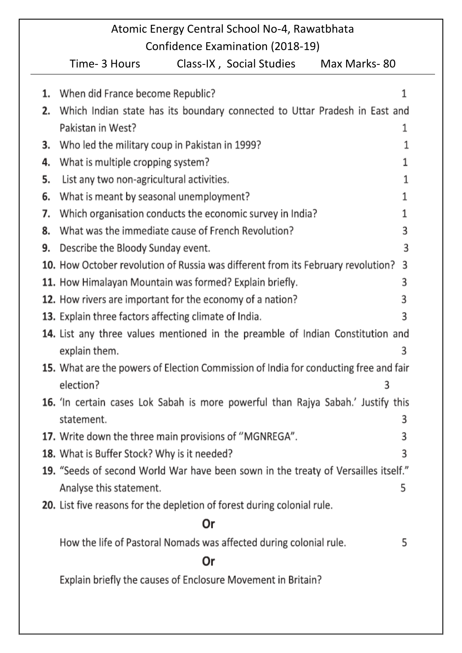#### Atomic Energy Central School No-4, Rawatbhata Confidence Examination (2018-19) Time- 3 Hours Class-IX, Social Studies Max Marks-80 1. When did France become Republic? 1 2. Which Indian state has its boundary connected to Uttar Pradesh in East and Pakistan in West? 1 3. Who led the military coup in Pakistan in 1999? 1 4. What is multiple cropping system? 1

1

1

1

3

3

3

3

3

3

3

3

10. How October revolution of Russia was different from its February revolution? 11. How Himalayan Mountain was formed? Explain briefly. 12. How rivers are important for the economy of a nation? 13. Explain three factors affecting climate of India. 14. List any three values mentioned in the preamble of Indian Constitution and explain them. 15. What are the powers of Election Commission of India for conducting free and fair election? 3 16. 'In certain cases Lok Sabah is more powerful than Rajya Sabah.' Justify this

statement. 3 17. Write down the three main provisions of "MGNREGA". 3

18. What is Buffer Stock? Why is it needed?

5. List any two non-agricultural activities.

9. Describe the Bloody Sunday event.

6. What is meant by seasonal unemployment?

7. Which organisation conducts the economic survey in India?

8. What was the immediate cause of French Revolution?

- 19. "Seeds of second World War have been sown in the treaty of Versailles itself." 5 Analyse this statement.
- 20. List five reasons for the depletion of forest during colonial rule.

# Or

How the life of Pastoral Nomads was affected during colonial rule. 5

# Or

Explain briefly the causes of Enclosure Movement in Britain?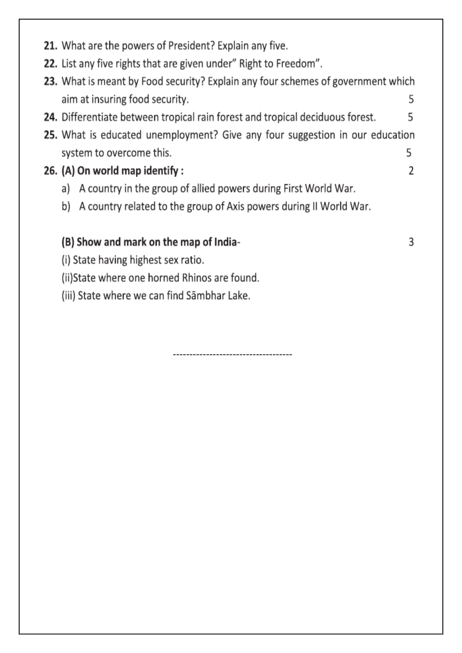- 21. What are the powers of President? Explain any five.
- 22. List any five rights that are given under" Right to Freedom".
- 23. What is meant by Food security? Explain any four schemes of government which aim at insuring food security. 5
- 24. Differentiate between tropical rain forest and tropical deciduous forest. 5
- 25. What is educated unemployment? Give any four suggestion in our education system to overcome this. 5

2

3

# 26. (A) On world map identify:

- a) A country in the group of allied powers during First World War.
- b) A country related to the group of Axis powers during II World War.

## (B) Show and mark on the map of India-

- (i) State having highest sex ratio.
- (ii)State where one horned Rhinos are found.
- (iii) State where we can find Sāmbhar Lake.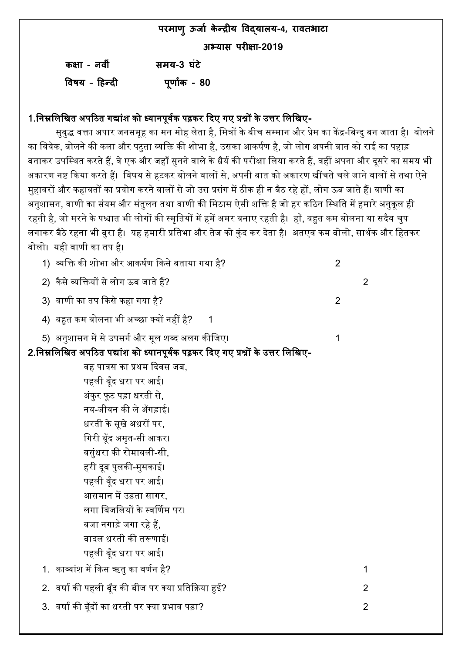**परमाणुऊर्ाा केन्द्रीय विद्याऱय-4, राितभाटा**

**अभ्यास परीऺा-2019**

| कक्षा - नवीं  | समय-3 घंटे    |
|---------------|---------------|
| विषय - हिन्दी | पूर्णांक - 80 |

## 1.निम्नलिखित अपठित गद्यांश को ध्यानपूर्वक पढ़कर दिए गए प्रश्नों के उत्तर लिखिए-

सुबुद्ध वक्ता अपार जनसमूह का मन मोह लेता है, मित्रों के बीच सम्मान और प्रेम का केंद्र-बिन्दु बन जाता है। बोलने का विवेक, बोलने की कला और पटुता व्यक्ति की शोभा है, उसका आकर्षण है, जो लोग अपनी बात को राई का पहाड़ बनाकर उपस्थित करते हैं, वे एक और जहाँ सुनने वाले के धैर्य की परीक्षा लिया करते हैं, वहीं अपना और दूसरे का समय भी अकारण नष्ट किया करते हैं। विषय से हटकर बोलने वालों से. अपनी बात को अकारण खींचते चले जाने वालों से तथा ऐसे मुहावरों और कहावतों का प्रयोग करने वालों से जो उस प्रसंग में ठीक ही न बैठ रहे हों, लोग ऊब जाते हैं। वाणी का अनुशासन, वाणी का संयम और संतुलन तथा वाणी की मिठास ऐसी शक्ति है जो हर कठिन स्थिति में हमारे अनुकूल ही रहती है, जो मरने के पश्चात भी लोगों की स्मृतियों में हमें अमर बनाए रहती है। हाँ, बहुत कम बोलना या सदैव चुप लगाकर बैठे रहना भी बुरा है। यह हमारी प्रतिभा और तेज को कुंद कर देता है। अतएव कम बोलो, सार्थक और हितकर बोलो। यही वाणी का तप है।

| 1)  व्यक्ति की शोभा और आकर्षण किसे बताया गया है?                                | $\overline{2}$ |                |
|---------------------------------------------------------------------------------|----------------|----------------|
| 2) कैसे व्यक्तियों से लोग ऊब जाते हैं?                                          |                | $\overline{2}$ |
| 3) वाणी का तप किसे कहा गया है?                                                  | $\overline{2}$ |                |
| 4)  बहुत कम बोलना भी अच्छा क्यों नहीं है?                                       |                |                |
| 5)  अनुशासन में से उपसर्ग और मूल शब्द अलग कीजिए।                                | 1              |                |
| 2.निम्नलिखित अपठित पद्यांश को ध्यानपूर्वक पढ़कर दिए गए प्रश्नों के उत्तर लिखिए- |                |                |
| वह पावस का प्रथम दिवस जब,                                                       |                |                |
| पहली बूँद धरा पर आई।                                                            |                |                |
| अंकुर फूट पड़ा धरती से,                                                         |                |                |
| नव-जीवन की ले अँगड़ाई।                                                          |                |                |
| धरती के सूखे अधरों पर,                                                          |                |                |
| गिरी बूँद अमृत-सी आकर।                                                          |                |                |
| वसुंधरा की रोमावली-सी,                                                          |                |                |
| हरी दूब पुलकी-मुसकाई।                                                           |                |                |
| पहली वूँद धरा पर आई।                                                            |                |                |
| आसमान में उड़ता सागर,                                                           |                |                |
| लगा बिजलियों के स्वर्णिम पर।                                                    |                |                |
| बजा नगाड़े जगा रहे हैं,                                                         |                |                |
| बादल धरती की तरूणाई।                                                            |                |                |
| पहली बूँद धरा पर आई।                                                            |                |                |
| 1.  काव्यांश में किस ऋतु का वर्णन है?                                           |                | 1              |
| 2. वर्षा की पहली बूँद की बीज पर क्या प्रतिक्रिया हुई?                           |                | 2              |
| 3.  वर्षा की बूँदों का धरती पर क्या प्रभाव पड़ा?                                |                | $\overline{2}$ |
|                                                                                 |                |                |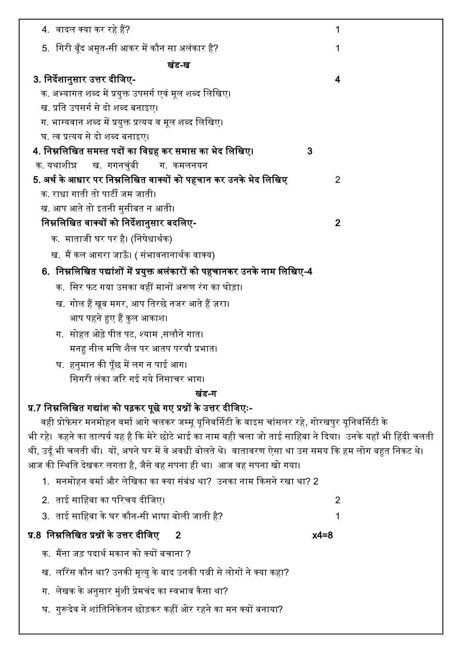| 4. वादल क्या कर रहे हैं?                                                                                        | 1              |
|-----------------------------------------------------------------------------------------------------------------|----------------|
| 5.  गिरी बूँद अमृत-सी आकर में कौन सा अलंकार है?                                                                 | 1              |
| खंड-ख                                                                                                           |                |
| 3. निर्देशानुसार उत्तर दीजिए-                                                                                   | 4              |
| क. अभ्यागत शब्द में प्रयुक्त उपसर्ग एवं मूल शब्द लिखिए।                                                         |                |
| ख. प्रति उपसर्ग से दो शब्द बनाइए।                                                                               |                |
| ग. भाग्यवान शब्द में प्रयुक्त प्रत्यय व मूल शब्द लिखिए।                                                         |                |
| घ. त्व प्रत्यय से दो शब्द बनाइए।                                                                                |                |
| 4. निम्नलिखित समस्त पदों का विग्रह कर समास का भेद लिखिए।                                                        | 3              |
| क यथाशीघ्र ख गगनचुंबी<br>ग. कमलनयन                                                                              |                |
| 5. अर्थ के आधार पर निम्नलिखित वाक्यों को पहचान कर उनके भेद लिखिए                                                | 2              |
| क. राधा गाती तो पार्टी जम जाती।                                                                                 |                |
| ख. आप आते तो इतनी मुसीबत न आती।                                                                                 |                |
| निम्नलिखित वाक्यों को निर्देशानुसार बदलिए-                                                                      | $\overline{2}$ |
| क.  माताजी घर पर है। (निषेधार्थक)                                                                               |                |
| ख. मैं कल आगरा जाऊँ। ( संभावनानार्थक वाक्य)                                                                     |                |
| 6.  निम्नलिखित पद्यांशों में प्रयुक्त अलंकारों को पहचानकर उनके नाम लिखिए-4                                      |                |
| क.  सिर फट गया उसका वहीं मानों अरूण रंग का घोड़ा।                                                               |                |
| ख. गोल हैं खूब मगर, आप तिरछे नजर आते हैं ज़रा।                                                                  |                |
| आप पहने हुए हैं कुल आकाश।                                                                                       |                |
| ग.  सोहत ओढ़े पीत पट, श्याम ,सलौने गात।                                                                         |                |
| मनह़ नील मणि शैल पर आतप परयौ प्रभात।                                                                            |                |
| घ.  हनुमान की पूँछ में लग न पाई आग।                                                                             |                |
| सिगरी लंका जरि गई गये निसाचर भाग।                                                                               |                |
| खंड-ग                                                                                                           |                |
| प्र.7 निम्नलिखित गद्यांश को पढ़कर पूछे गए प्रश्नों के उत्तर दीजिएः-                                             |                |
| वही प्रोफेसर मनमोहन वर्मा आगे चलकर जम्मू यूनिवर्सिटी के वाइस चांसलर रहे, गोरखपुर यूनिवर्सिटी के                 |                |
| भी रहे।  कहने का तात्पर्य यह है कि मेरे छोटे भाई का नाम वही चला जो ताई साहिबा ने दिया।  उनके यहाँ भी हिंदी चलती |                |
| थी, उर्दू भी चलती थी।  यों, अपने घर में वे अवधी बोलते थे।  वातावरण ऐसा था उस समय कि हम लोग बहुत निकट थे।        |                |
| आज की स्थिति देखकर लगता है, जैसे वह सपना ही था।  आज वह सपना खो गया।                                             |                |
| 1.  मनमोहन वर्मा और लेखिका का क्या संबंध था?  उनका नाम किसने रखा था? 2                                          |                |
| 2.  ताई साहिबा का परिचय दीजिए।                                                                                  | 2              |
| 3.  ताई साहिबा के घर कौन-सी भाषा बोली जाती है?                                                                  | 1              |
| प्र.8  निम्नलिखित प्रश्नों के उत्तर दीजिए<br>$\mathbf{2}$                                                       | $x4=8$         |
| क.  मैंना जड़ पदार्थ मकान को क्यों बचाना ?                                                                      |                |
| ख.  लॉरेंस कौन था? उनकी मृत्यु के बाद उनकी पत्नी से लोगों ने क्या कहा?                                          |                |
| ग.  लेखक के अनुसार मुंशी प्रेमचंद का स्वभाव कैसा था?                                                            |                |
| घ.  गुरूदेव ने शांतिनिकेतन छोड़कर कहीं ओर रहने का मन क्यों बनाया?                                               |                |
|                                                                                                                 |                |